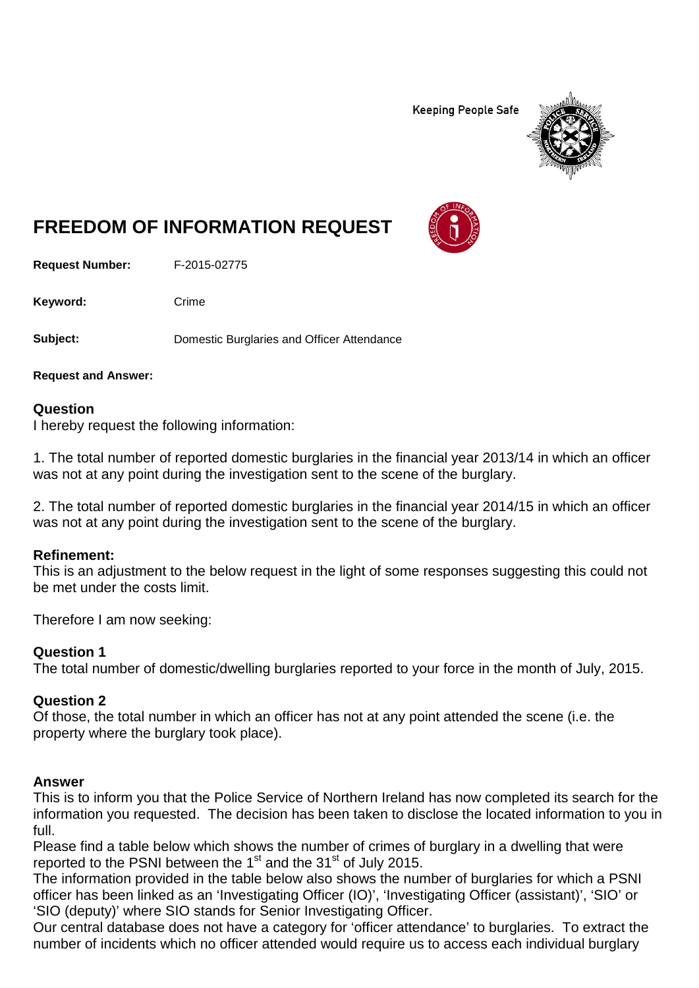**Keeping People Safe** 



# **FREEDOM OF INFORMATION REQUEST**

**Request Number:** F-2015-02775

Keyword: Crime

**Subject:** Domestic Burglaries and Officer Attendance

**Request and Answer:**

## **Question**

I hereby request the following information:

1. The total number of reported domestic burglaries in the financial year 2013/14 in which an officer was not at any point during the investigation sent to the scene of the burglary.

2. The total number of reported domestic burglaries in the financial year 2014/15 in which an officer was not at any point during the investigation sent to the scene of the burglary.

## **Refinement:**

This is an adjustment to the below request in the light of some responses suggesting this could not be met under the costs limit.

Therefore I am now seeking:

## **Question 1**

The total number of domestic/dwelling burglaries reported to your force in the month of July, 2015.

## **Question 2**

Of those, the total number in which an officer has not at any point attended the scene (i.e. the property where the burglary took place).

## **Answer**

This is to inform you that the Police Service of Northern Ireland has now completed its search for the information you requested. The decision has been taken to disclose the located information to you in full.

Please find a table below which shows the number of crimes of burglary in a dwelling that were reported to the PSNI between the 1<sup>st</sup> and the 31<sup>st</sup> of July 2015.

The information provided in the table below also shows the number of burglaries for which a PSNI officer has been linked as an 'Investigating Officer (IO)', 'Investigating Officer (assistant)', 'SIO' or 'SIO (deputy)' where SIO stands for Senior Investigating Officer.

Our central database does not have a category for 'officer attendance' to burglaries. To extract the number of incidents which no officer attended would require us to access each individual burglary